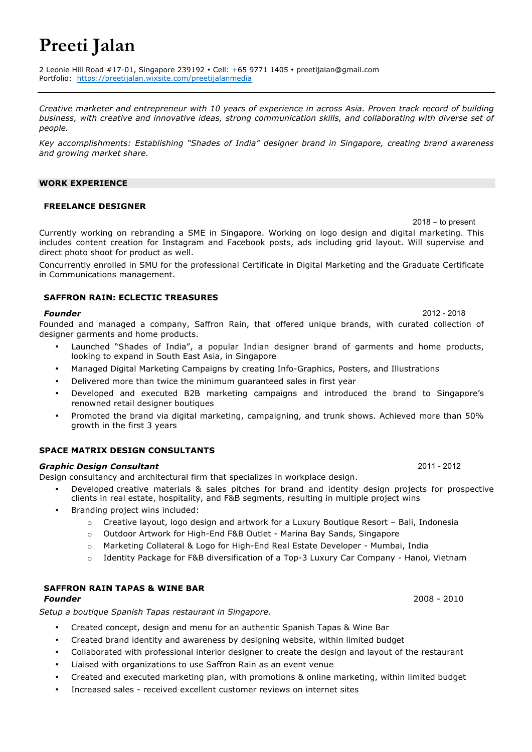## **Preeti Jalan**

2 Leonie Hill Road #17-01, Singapore 239192 • Cell: +65 9771 1405 • preetijalan@gmail.com Portfolio: https://preetijalan.wixsite.com/preetijalanmedia

*Creative marketer and entrepreneur with 10 years of experience in across Asia. Proven track record of building business, with creative and innovative ideas, strong communication skills, and collaborating with diverse set of people.*

*Key accomplishments: Establishing "Shades of India" designer brand in Singapore, creating brand awareness and growing market share.*

## **WORK EXPERIENCE**

## **FREELANCE DESIGNER**

2018 – to present Currently working on rebranding a SME in Singapore. Working on logo design and digital marketing. This includes content creation for Instagram and Facebook posts, ads including grid layout. Will supervise and direct photo shoot for product as well.

Concurrently enrolled in SMU for the professional Certificate in Digital Marketing and the Graduate Certificate in Communications management.

## **SAFFRON RAIN: ECLECTIC TREASURES**

### *Founder* 2012 - 2018

Founded and managed a company, Saffron Rain, that offered unique brands, with curated collection of designer garments and home products.

- Launched "Shades of India", a popular Indian designer brand of garments and home products, looking to expand in South East Asia, in Singapore
- Managed Digital Marketing Campaigns by creating Info-Graphics, Posters, and Illustrations
- Delivered more than twice the minimum guaranteed sales in first year
- Developed and executed B2B marketing campaigns and introduced the brand to Singapore's renowned retail designer boutiques
- Promoted the brand via digital marketing, campaigning, and trunk shows. Achieved more than 50% growth in the first 3 years

## **SPACE MATRIX DESIGN CONSULTANTS**

## *Graphic Design Consultant* 2011 - 2012

Design consultancy and architectural firm that specializes in workplace design.

- Developed creative materials & sales pitches for brand and identity design projects for prospective clients in real estate, hospitality, and F&B segments, resulting in multiple project wins
- Branding project wins included:
	- $\circ$  Creative layout, logo design and artwork for a Luxury Boutique Resort Bali, Indonesia
	- o Outdoor Artwork for High-End F&B Outlet Marina Bay Sands, Singapore
	- o Marketing Collateral & Logo for High-End Real Estate Developer Mumbai, India
	- Identity Package for F&B diversification of a Top-3 Luxury Car Company Hanoi, Vietnam

## **SAFFRON RAIN TAPAS & WINE BAR**

*Setup a boutique Spanish Tapas restaurant in Singapore.*

- Created concept, design and menu for an authentic Spanish Tapas & Wine Bar
- Created brand identity and awareness by designing website, within limited budget
- Collaborated with professional interior designer to create the design and layout of the restaurant
- Liaised with organizations to use Saffron Rain as an event venue
- Created and executed marketing plan, with promotions & online marketing, within limited budget
- Increased sales received excellent customer reviews on internet sites

*Founder* 2008 - 2010